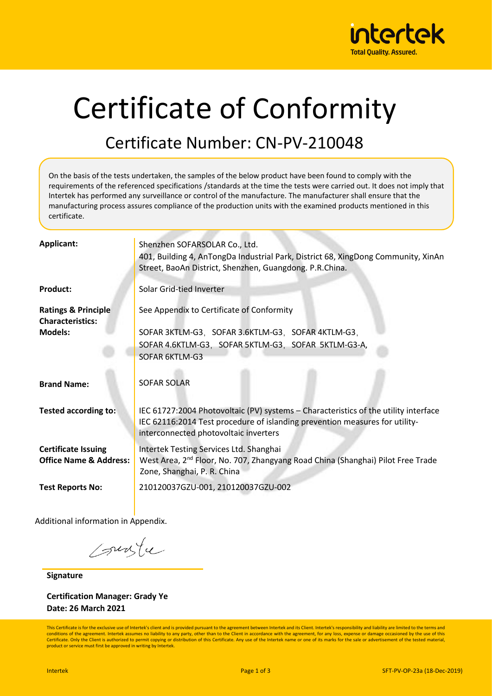

# Certificate of Conformity

#### Certificate Number: CN-PV-210048

On the basis of the tests undertaken, the samples of the below product have been found to comply with the requirements of the referenced specifications /standards at the time the tests were carried out. It does not imply that Intertek has performed any surveillance or control of the manufacture. The manufacturer shall ensure that the manufacturing process assures compliance of the production units with the examined products mentioned in this certificate.

| Applicant:                        | Shenzhen SOFARSOLAR Co., Ltd.                                                               |  |  |  |  |
|-----------------------------------|---------------------------------------------------------------------------------------------|--|--|--|--|
|                                   | 401, Building 4, AnTongDa Industrial Park, District 68, XingDong Community, XinAn           |  |  |  |  |
|                                   | Street, BaoAn District, Shenzhen, Guangdong. P.R.China.                                     |  |  |  |  |
|                                   |                                                                                             |  |  |  |  |
| <b>Product:</b>                   | Solar Grid-tied Inverter                                                                    |  |  |  |  |
|                                   |                                                                                             |  |  |  |  |
| <b>Ratings &amp; Principle</b>    | See Appendix to Certificate of Conformity                                                   |  |  |  |  |
| <b>Characteristics:</b>           |                                                                                             |  |  |  |  |
| <b>Models:</b>                    | SOFAR 3KTLM-G3, SOFAR 3.6KTLM-G3, SOFAR 4KTLM-G3,                                           |  |  |  |  |
|                                   | SOFAR 4.6KTLM-G3, SOFAR 5KTLM-G3, SOFAR 5KTLM-G3-A,                                         |  |  |  |  |
|                                   | SOFAR 6KTLM-G3                                                                              |  |  |  |  |
|                                   |                                                                                             |  |  |  |  |
|                                   |                                                                                             |  |  |  |  |
| <b>Brand Name:</b>                | <b>SOFAR SOLAR</b>                                                                          |  |  |  |  |
|                                   |                                                                                             |  |  |  |  |
| <b>Tested according to:</b>       | IEC 61727:2004 Photovoltaic (PV) systems - Characteristics of the utility interface         |  |  |  |  |
|                                   |                                                                                             |  |  |  |  |
|                                   | IEC 62116:2014 Test procedure of islanding prevention measures for utility-                 |  |  |  |  |
|                                   | interconnected photovoltaic inverters                                                       |  |  |  |  |
| <b>Certificate Issuing</b>        | Intertek Testing Services Ltd. Shanghai                                                     |  |  |  |  |
| <b>Office Name &amp; Address:</b> | West Area, 2 <sup>nd</sup> Floor, No. 707, Zhangyang Road China (Shanghai) Pilot Free Trade |  |  |  |  |
|                                   | Zone, Shanghai, P. R. China                                                                 |  |  |  |  |
|                                   |                                                                                             |  |  |  |  |
| <b>Test Reports No:</b>           | 210120037GZU-001, 210120037GZU-002                                                          |  |  |  |  |
|                                   |                                                                                             |  |  |  |  |

Additional information in Appendix.

sunte

**Signature**

**Certification Manager: Grady Ye Date: 26 March 2021**

This Certificate is for the exclusive use of Intertek's client and is provided pursuant to the agreement between Intertek and its Client. Intertek's responsibility and liability are limited to the terms and conditions of the agreement. Intertek assumes no liability to any party, other than to the Client in accordance with the agreement, for any loss, expense or damage occasioned by the use of this Certificate. Only the Client is authorized to permit copying or distribution of this Certificate. Any use of the Intertek name or one of its marks for the sale or advertisement of the tested material, product or service must first be approved in writing by Intertek.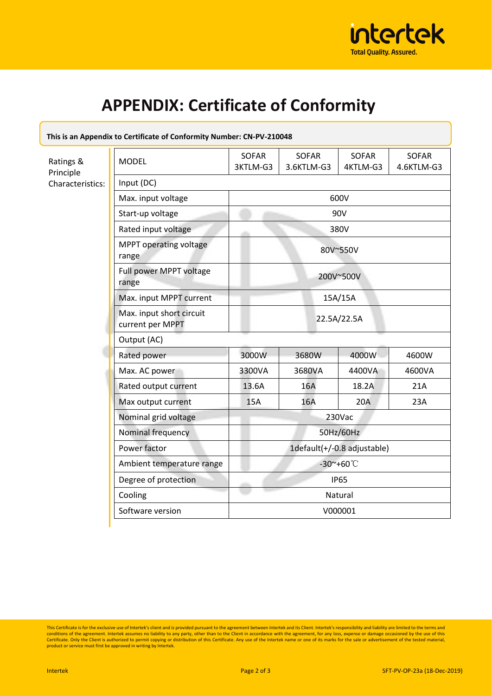

## **APPENDIX: Certificate of Conformity**

| This is an Appendix to Certificate of Conformity Number: CN-PV-210048 |                                              |                                 |                            |                          |                            |  |  |
|-----------------------------------------------------------------------|----------------------------------------------|---------------------------------|----------------------------|--------------------------|----------------------------|--|--|
| Ratings &<br>Principle<br>Characteristics:                            | <b>MODEL</b>                                 | <b>SOFAR</b><br>3KTLM-G3        | <b>SOFAR</b><br>3.6KTLM-G3 | <b>SOFAR</b><br>4KTLM-G3 | <b>SOFAR</b><br>4.6KTLM-G3 |  |  |
|                                                                       | Input (DC)                                   |                                 |                            |                          |                            |  |  |
|                                                                       | Max. input voltage                           | 600V                            |                            |                          |                            |  |  |
|                                                                       | Start-up voltage                             | 90V                             |                            |                          |                            |  |  |
|                                                                       | Rated input voltage                          | 380V                            |                            |                          |                            |  |  |
|                                                                       | MPPT operating voltage<br>range              | 80V~550V                        |                            |                          |                            |  |  |
|                                                                       | Full power MPPT voltage<br>range             | 200V~500V                       |                            |                          |                            |  |  |
|                                                                       | Max. input MPPT current                      | 15A/15A                         |                            |                          |                            |  |  |
|                                                                       | Max. input short circuit<br>current per MPPT | 22.5A/22.5A                     |                            |                          |                            |  |  |
|                                                                       | Output (AC)                                  |                                 |                            |                          |                            |  |  |
|                                                                       | Rated power                                  | 3000W                           | 3680W                      | 4000W                    | 4600W                      |  |  |
|                                                                       | Max. AC power                                | 3300VA                          | 3680VA                     | 4400VA                   | 4600VA                     |  |  |
|                                                                       | Rated output current                         | 13.6A                           | 16A                        | 18.2A                    | 21A                        |  |  |
|                                                                       | Max output current                           | <b>15A</b>                      | 16A                        | 20A                      | 23A                        |  |  |
|                                                                       | Nominal grid voltage                         | 230Vac                          |                            |                          |                            |  |  |
|                                                                       | Nominal frequency                            | 50Hz/60Hz                       |                            |                          |                            |  |  |
|                                                                       | Power factor                                 | 1default(+/-0.8 adjustable)     |                            |                          |                            |  |  |
|                                                                       | Ambient temperature range                    | $-30^\circ + 60^\circ \text{C}$ |                            |                          |                            |  |  |
|                                                                       | Degree of protection                         | <b>IP65</b>                     |                            |                          |                            |  |  |
|                                                                       | Cooling                                      | Natural                         |                            |                          |                            |  |  |
|                                                                       | Software version                             | V000001                         |                            |                          |                            |  |  |
|                                                                       |                                              |                                 |                            |                          |                            |  |  |

This Certificate is for the exclusive use of Intertek's client and is provided pursuant to the agreement between Intertek and its Client. Intertek's responsibility and liability are limited to the terms and conditions of t